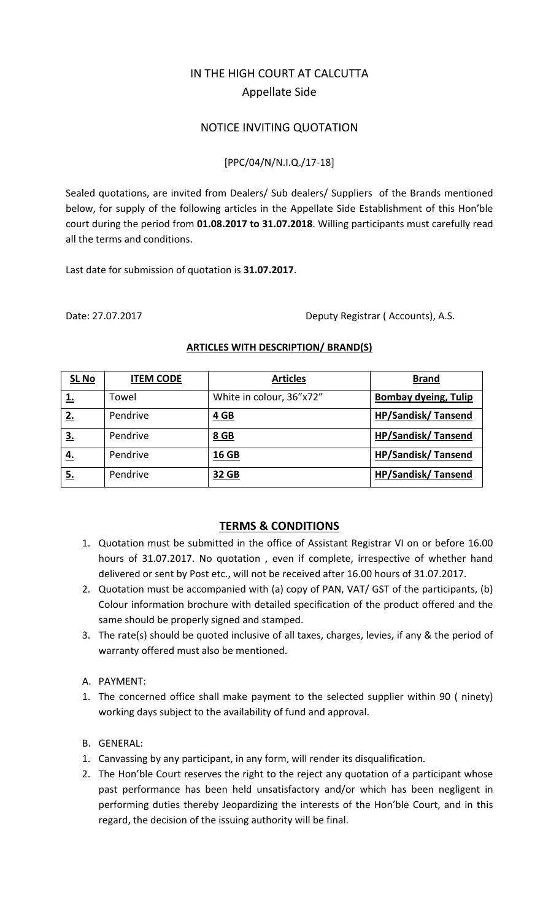# IN THE HIGH COURT AT CALCUTTA Appellate Side

## NOTICE INVITING QUOTATION

### [PPC/04/N/N.I.Q./17‐18]

Sealed quotations, are invited from Dealers/ Sub dealers/ Suppliers of the Brands mentioned below, for supply of the following articles in the Appellate Side Establishment of this Hon'ble court during the period from **01.08.2017 to 31.07.2018**. Willing participants must carefully read all the terms and conditions.

Last date for submission of quotation is **31.07.2017**.

Date: 27.07.2017 Deputy Registrar ( Accounts), A.S.

| <b>SL No</b> | <b>ITEM CODE</b> | <b>Articles</b>          | <b>Brand</b>                |
|--------------|------------------|--------------------------|-----------------------------|
| 1.           | Towel            | White in colour, 36"x72" | <b>Bombay dyeing, Tulip</b> |
| 2.           | Pendrive         | $4$ GB                   | <b>HP/Sandisk/Tansend</b>   |
| <u>3.</u>    | Pendrive         | 8 GB                     | <b>HP/Sandisk/Tansend</b>   |
| <u>4.</u>    | Pendrive         | 16 GB                    | <b>HP/Sandisk/Tansend</b>   |
| <u>5.</u>    | Pendrive         | 32 GB                    | <b>HP/Sandisk/Tansend</b>   |

#### **ARTICLES WITH DESCRIPTION/ BRAND(S)**

## **TERMS & CONDITIONS**

- 1. Quotation must be submitted in the office of Assistant Registrar VI on or before 16.00 hours of 31.07.2017. No quotation , even if complete, irrespective of whether hand delivered or sent by Post etc., will not be received after 16.00 hours of 31.07.2017.
- 2. Quotation must be accompanied with (a) copy of PAN, VAT/ GST of the participants, (b) Colour information brochure with detailed specification of the product offered and the same should be properly signed and stamped.
- 3. The rate(s) should be quoted inclusive of all taxes, charges, levies, if any & the period of warranty offered must also be mentioned.
- A. PAYMENT:
- 1. The concerned office shall make payment to the selected supplier within 90 ( ninety) working days subject to the availability of fund and approval.
- B. GENERAL:
- 1. Canvassing by any participant, in any form, will render its disqualification.
- 2. The Hon'ble Court reserves the right to the reject any quotation of a participant whose past performance has been held unsatisfactory and/or which has been negligent in performing duties thereby Jeopardizing the interests of the Hon'ble Court, and in this regard, the decision of the issuing authority will be final.